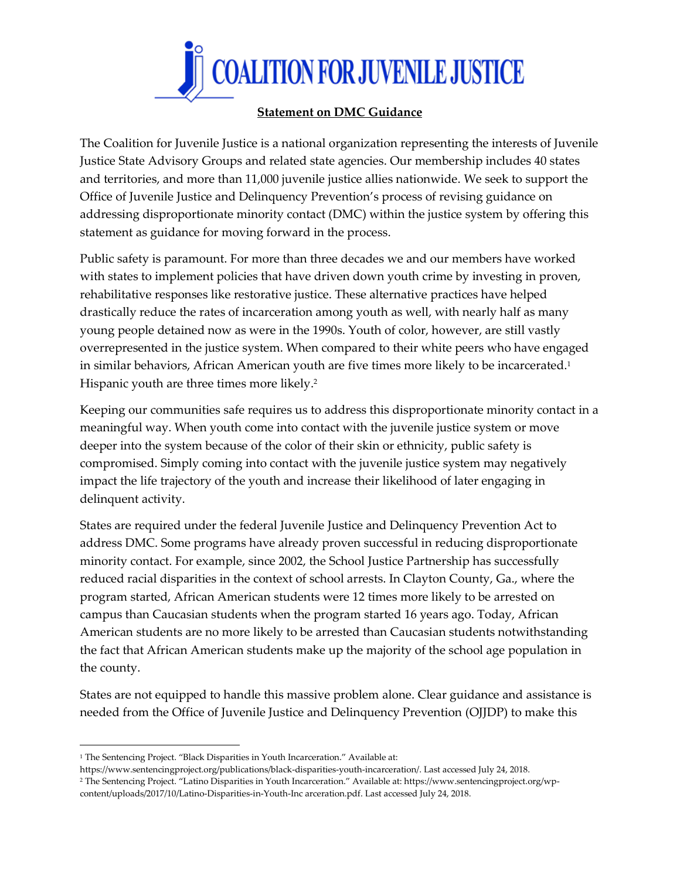

## **Statement on DMC Guidance**

The Coalition for Juvenile Justice is a national organization representing the interests of Juvenile Justice State Advisory Groups and related state agencies. Our membership includes 40 states and territories, and more than 11,000 juvenile justice allies nationwide. We seek to support the Office of Juvenile Justice and Delinquency Prevention's process of revising guidance on addressing disproportionate minority contact (DMC) within the justice system by offering this statement as guidance for moving forward in the process.

Public safety is paramount. For more than three decades we and our members have worked with states to implement policies that have driven down youth crime by investing in proven, rehabilitative responses like restorative justice. These alternative practices have helped drastically reduce the rates of incarceration among youth as well, with nearly half as many young people detained now as were in the 1990s. Youth of color, however, are still vastly overrepresented in the justice system. When compared to their white peers who have engaged in similar behaviors, African American youth are five times more likely to be incarcerated.<sup>1</sup> Hispanic youth are three times more likely. 2

Keeping our communities safe requires us to address this disproportionate minority contact in a meaningful way. When youth come into contact with the juvenile justice system or move deeper into the system because of the color of their skin or ethnicity, public safety is compromised. Simply coming into contact with the juvenile justice system may negatively impact the life trajectory of the youth and increase their likelihood of later engaging in delinquent activity.

States are required under the federal Juvenile Justice and Delinquency Prevention Act to address DMC. Some programs have already proven successful in reducing disproportionate minority contact. For example, since 2002, the School Justice Partnership has successfully reduced racial disparities in the context of school arrests. In Clayton County, Ga., where the program started, African American students were 12 times more likely to be arrested on campus than Caucasian students when the program started 16 years ago. Today, African American students are no more likely to be arrested than Caucasian students notwithstanding the fact that African American students make up the majority of the school age population in the county.

States are not equipped to handle this massive problem alone. Clear guidance and assistance is needed from the Office of Juvenile Justice and Delinquency Prevention (OJJDP) to make this

l

<sup>&</sup>lt;sup>1</sup> The Sentencing Project. "Black Disparities in Youth Incarceration." Available at:

https://www.sentencingproject.org/publications/black-disparities-youth-incarceration/. Last accessed July 24, 2018. <sup>2</sup> The Sentencing Project. "Latino Disparities in Youth Incarceration." Available at: https://www.sentencingproject.org/wpcontent/uploads/2017/10/Latino-Disparities-in-Youth-Inc arceration.pdf. Last accessed July 24, 2018.